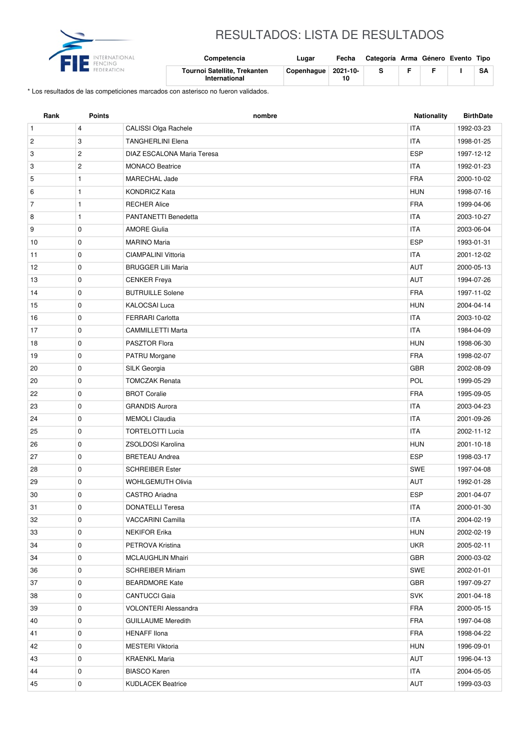

## RESULTADOS: LISTA DE RESULTADOS

| NTERNATIONAL<br>ENCING | Competencia                                   | Lugar                 | Fecha | Categoría Arma Género Evento Tipo |  |    |
|------------------------|-----------------------------------------------|-----------------------|-------|-----------------------------------|--|----|
| EDERATION              | Tournoi Satellite, Trekanten<br>International | Copenhaque   2021-10- |       |                                   |  | SA |

\* Los resultados de las competiciones marcados con asterisco no fueron validados.

| <b>ITA</b><br>$\mathbf{1}$<br>CALISSI Olga Rachele<br>1992-03-23<br>$\overline{4}$<br>3<br><b>TANGHERLINI Elena</b><br><b>ITA</b><br>$\overline{c}$<br>1998-01-25<br>$\overline{c}$<br>DIAZ ESCALONA Maria Teresa<br><b>ESP</b><br>1997-12-12<br>3<br>$\mathbf{2}$<br>3<br><b>MONACO Beatrice</b><br><b>ITA</b><br>1992-01-23<br><b>FRA</b><br>5<br>1<br>MARECHAL Jade<br>2000-10-02<br><b>KONDRICZ Kata</b><br><b>HUN</b><br>6<br>1<br>1998-07-16<br>$\overline{7}$<br>$\mathbf{1}$<br><b>FRA</b><br><b>RECHER Alice</b><br>1999-04-06<br>$\mathbf{1}$<br>PANTANETTI Benedetta<br><b>ITA</b><br>8<br>2003-10-27<br>9<br>0<br><b>AMORE Giulia</b><br><b>ITA</b><br>2003-06-04<br>0<br><b>ESP</b><br>10<br><b>MARINO Maria</b><br>1993-01-31<br><b>ITA</b><br>0<br><b>CIAMPALINI Vittoria</b><br>2001-12-02<br>11<br>12<br>$\mathbf 0$<br><b>BRUGGER Lilli Maria</b><br><b>AUT</b><br>2000-05-13<br>AUT<br>13<br>0<br><b>CENKER Freya</b><br>1994-07-26<br>$\mathbf 0$<br><b>BUTRUILLE Solene</b><br><b>FRA</b><br>1997-11-02<br>14<br>0<br><b>KALOCSAI Luca</b><br><b>HUN</b><br>15<br>2004-04-14<br><b>ITA</b><br>16<br>0<br><b>FERRARI Carlotta</b><br>2003-10-02<br><b>ITA</b><br>0<br>17<br><b>CAMMILLETTI Marta</b><br>1984-04-09<br>0<br><b>HUN</b><br>18<br><b>PASZTOR Flora</b><br>1998-06-30<br><b>FRA</b><br>19<br>0<br>PATRU Morgane<br>1998-02-07<br><b>GBR</b><br>$\mathbf 0$<br>SILK Georgia<br>20<br>2002-08-09<br>0<br><b>TOMCZAK Renata</b><br>POL<br>20<br>1999-05-29<br><b>BROT Coralie</b><br><b>FRA</b><br>22<br>0<br>1995-09-05<br>23<br>0<br><b>GRANDIS Aurora</b><br><b>ITA</b><br>2003-04-23<br><b>ITA</b><br>24<br>0<br><b>MEMOLI Claudia</b><br>2001-09-26<br>$\mathbf 0$<br><b>TORTELOTTI Lucia</b><br><b>ITA</b><br>2002-11-12<br>25<br>26<br>0<br>ZSOLDOSI Karolina<br><b>HUN</b><br>2001-10-18<br><b>ESP</b><br>27<br>0<br><b>BRETEAU Andrea</b><br>1998-03-17<br>0<br><b>SCHREIBER Ester</b><br><b>SWE</b><br>28<br>1997-04-08<br>0<br><b>AUT</b><br>29<br><b>WOHLGEMUTH Olivia</b><br>1992-01-28<br>30<br>0<br><b>CASTRO</b> Ariadna<br><b>ESP</b><br>2001-04-07<br><b>ITA</b><br>31<br>0<br>2000-01-30<br><b>DONATELLI Teresa</b><br>32<br>0<br>VACCARINI Camilla<br>ITA<br>2004-02-19<br>33<br><b>NEKIFOR Erika</b><br><b>HUN</b><br>2002-02-19<br>0<br>34<br>0<br><b>UKR</b><br>PETROVA Kristina<br>2005-02-11<br>GBR<br>MCLAUGHLIN Mhairi<br>34<br>0<br>2000-03-02<br>SWE<br>36<br>0<br><b>SCHREIBER Miriam</b><br>2002-01-01<br>GBR<br>37<br>0<br><b>BEARDMORE Kate</b><br>1997-09-27<br><b>SVK</b><br>38<br>0<br><b>CANTUCCI Gaia</b><br>2001-04-18 | Rank | <b>Points</b> | nombre | <b>Nationality</b> | <b>BirthDate</b> |
|--------------------------------------------------------------------------------------------------------------------------------------------------------------------------------------------------------------------------------------------------------------------------------------------------------------------------------------------------------------------------------------------------------------------------------------------------------------------------------------------------------------------------------------------------------------------------------------------------------------------------------------------------------------------------------------------------------------------------------------------------------------------------------------------------------------------------------------------------------------------------------------------------------------------------------------------------------------------------------------------------------------------------------------------------------------------------------------------------------------------------------------------------------------------------------------------------------------------------------------------------------------------------------------------------------------------------------------------------------------------------------------------------------------------------------------------------------------------------------------------------------------------------------------------------------------------------------------------------------------------------------------------------------------------------------------------------------------------------------------------------------------------------------------------------------------------------------------------------------------------------------------------------------------------------------------------------------------------------------------------------------------------------------------------------------------------------------------------------------------------------------------------------------------------------------------------------------------------------------------------------------------------------------------------------------------------------------------------------------------------------------------------------------------------------------------------------------------------------------------------------------------------------------------------------------------------------------------------|------|---------------|--------|--------------------|------------------|
|                                                                                                                                                                                                                                                                                                                                                                                                                                                                                                                                                                                                                                                                                                                                                                                                                                                                                                                                                                                                                                                                                                                                                                                                                                                                                                                                                                                                                                                                                                                                                                                                                                                                                                                                                                                                                                                                                                                                                                                                                                                                                                                                                                                                                                                                                                                                                                                                                                                                                                                                                                                            |      |               |        |                    |                  |
|                                                                                                                                                                                                                                                                                                                                                                                                                                                                                                                                                                                                                                                                                                                                                                                                                                                                                                                                                                                                                                                                                                                                                                                                                                                                                                                                                                                                                                                                                                                                                                                                                                                                                                                                                                                                                                                                                                                                                                                                                                                                                                                                                                                                                                                                                                                                                                                                                                                                                                                                                                                            |      |               |        |                    |                  |
|                                                                                                                                                                                                                                                                                                                                                                                                                                                                                                                                                                                                                                                                                                                                                                                                                                                                                                                                                                                                                                                                                                                                                                                                                                                                                                                                                                                                                                                                                                                                                                                                                                                                                                                                                                                                                                                                                                                                                                                                                                                                                                                                                                                                                                                                                                                                                                                                                                                                                                                                                                                            |      |               |        |                    |                  |
|                                                                                                                                                                                                                                                                                                                                                                                                                                                                                                                                                                                                                                                                                                                                                                                                                                                                                                                                                                                                                                                                                                                                                                                                                                                                                                                                                                                                                                                                                                                                                                                                                                                                                                                                                                                                                                                                                                                                                                                                                                                                                                                                                                                                                                                                                                                                                                                                                                                                                                                                                                                            |      |               |        |                    |                  |
|                                                                                                                                                                                                                                                                                                                                                                                                                                                                                                                                                                                                                                                                                                                                                                                                                                                                                                                                                                                                                                                                                                                                                                                                                                                                                                                                                                                                                                                                                                                                                                                                                                                                                                                                                                                                                                                                                                                                                                                                                                                                                                                                                                                                                                                                                                                                                                                                                                                                                                                                                                                            |      |               |        |                    |                  |
|                                                                                                                                                                                                                                                                                                                                                                                                                                                                                                                                                                                                                                                                                                                                                                                                                                                                                                                                                                                                                                                                                                                                                                                                                                                                                                                                                                                                                                                                                                                                                                                                                                                                                                                                                                                                                                                                                                                                                                                                                                                                                                                                                                                                                                                                                                                                                                                                                                                                                                                                                                                            |      |               |        |                    |                  |
|                                                                                                                                                                                                                                                                                                                                                                                                                                                                                                                                                                                                                                                                                                                                                                                                                                                                                                                                                                                                                                                                                                                                                                                                                                                                                                                                                                                                                                                                                                                                                                                                                                                                                                                                                                                                                                                                                                                                                                                                                                                                                                                                                                                                                                                                                                                                                                                                                                                                                                                                                                                            |      |               |        |                    |                  |
|                                                                                                                                                                                                                                                                                                                                                                                                                                                                                                                                                                                                                                                                                                                                                                                                                                                                                                                                                                                                                                                                                                                                                                                                                                                                                                                                                                                                                                                                                                                                                                                                                                                                                                                                                                                                                                                                                                                                                                                                                                                                                                                                                                                                                                                                                                                                                                                                                                                                                                                                                                                            |      |               |        |                    |                  |
|                                                                                                                                                                                                                                                                                                                                                                                                                                                                                                                                                                                                                                                                                                                                                                                                                                                                                                                                                                                                                                                                                                                                                                                                                                                                                                                                                                                                                                                                                                                                                                                                                                                                                                                                                                                                                                                                                                                                                                                                                                                                                                                                                                                                                                                                                                                                                                                                                                                                                                                                                                                            |      |               |        |                    |                  |
|                                                                                                                                                                                                                                                                                                                                                                                                                                                                                                                                                                                                                                                                                                                                                                                                                                                                                                                                                                                                                                                                                                                                                                                                                                                                                                                                                                                                                                                                                                                                                                                                                                                                                                                                                                                                                                                                                                                                                                                                                                                                                                                                                                                                                                                                                                                                                                                                                                                                                                                                                                                            |      |               |        |                    |                  |
|                                                                                                                                                                                                                                                                                                                                                                                                                                                                                                                                                                                                                                                                                                                                                                                                                                                                                                                                                                                                                                                                                                                                                                                                                                                                                                                                                                                                                                                                                                                                                                                                                                                                                                                                                                                                                                                                                                                                                                                                                                                                                                                                                                                                                                                                                                                                                                                                                                                                                                                                                                                            |      |               |        |                    |                  |
|                                                                                                                                                                                                                                                                                                                                                                                                                                                                                                                                                                                                                                                                                                                                                                                                                                                                                                                                                                                                                                                                                                                                                                                                                                                                                                                                                                                                                                                                                                                                                                                                                                                                                                                                                                                                                                                                                                                                                                                                                                                                                                                                                                                                                                                                                                                                                                                                                                                                                                                                                                                            |      |               |        |                    |                  |
|                                                                                                                                                                                                                                                                                                                                                                                                                                                                                                                                                                                                                                                                                                                                                                                                                                                                                                                                                                                                                                                                                                                                                                                                                                                                                                                                                                                                                                                                                                                                                                                                                                                                                                                                                                                                                                                                                                                                                                                                                                                                                                                                                                                                                                                                                                                                                                                                                                                                                                                                                                                            |      |               |        |                    |                  |
|                                                                                                                                                                                                                                                                                                                                                                                                                                                                                                                                                                                                                                                                                                                                                                                                                                                                                                                                                                                                                                                                                                                                                                                                                                                                                                                                                                                                                                                                                                                                                                                                                                                                                                                                                                                                                                                                                                                                                                                                                                                                                                                                                                                                                                                                                                                                                                                                                                                                                                                                                                                            |      |               |        |                    |                  |
|                                                                                                                                                                                                                                                                                                                                                                                                                                                                                                                                                                                                                                                                                                                                                                                                                                                                                                                                                                                                                                                                                                                                                                                                                                                                                                                                                                                                                                                                                                                                                                                                                                                                                                                                                                                                                                                                                                                                                                                                                                                                                                                                                                                                                                                                                                                                                                                                                                                                                                                                                                                            |      |               |        |                    |                  |
|                                                                                                                                                                                                                                                                                                                                                                                                                                                                                                                                                                                                                                                                                                                                                                                                                                                                                                                                                                                                                                                                                                                                                                                                                                                                                                                                                                                                                                                                                                                                                                                                                                                                                                                                                                                                                                                                                                                                                                                                                                                                                                                                                                                                                                                                                                                                                                                                                                                                                                                                                                                            |      |               |        |                    |                  |
|                                                                                                                                                                                                                                                                                                                                                                                                                                                                                                                                                                                                                                                                                                                                                                                                                                                                                                                                                                                                                                                                                                                                                                                                                                                                                                                                                                                                                                                                                                                                                                                                                                                                                                                                                                                                                                                                                                                                                                                                                                                                                                                                                                                                                                                                                                                                                                                                                                                                                                                                                                                            |      |               |        |                    |                  |
|                                                                                                                                                                                                                                                                                                                                                                                                                                                                                                                                                                                                                                                                                                                                                                                                                                                                                                                                                                                                                                                                                                                                                                                                                                                                                                                                                                                                                                                                                                                                                                                                                                                                                                                                                                                                                                                                                                                                                                                                                                                                                                                                                                                                                                                                                                                                                                                                                                                                                                                                                                                            |      |               |        |                    |                  |
|                                                                                                                                                                                                                                                                                                                                                                                                                                                                                                                                                                                                                                                                                                                                                                                                                                                                                                                                                                                                                                                                                                                                                                                                                                                                                                                                                                                                                                                                                                                                                                                                                                                                                                                                                                                                                                                                                                                                                                                                                                                                                                                                                                                                                                                                                                                                                                                                                                                                                                                                                                                            |      |               |        |                    |                  |
|                                                                                                                                                                                                                                                                                                                                                                                                                                                                                                                                                                                                                                                                                                                                                                                                                                                                                                                                                                                                                                                                                                                                                                                                                                                                                                                                                                                                                                                                                                                                                                                                                                                                                                                                                                                                                                                                                                                                                                                                                                                                                                                                                                                                                                                                                                                                                                                                                                                                                                                                                                                            |      |               |        |                    |                  |
|                                                                                                                                                                                                                                                                                                                                                                                                                                                                                                                                                                                                                                                                                                                                                                                                                                                                                                                                                                                                                                                                                                                                                                                                                                                                                                                                                                                                                                                                                                                                                                                                                                                                                                                                                                                                                                                                                                                                                                                                                                                                                                                                                                                                                                                                                                                                                                                                                                                                                                                                                                                            |      |               |        |                    |                  |
|                                                                                                                                                                                                                                                                                                                                                                                                                                                                                                                                                                                                                                                                                                                                                                                                                                                                                                                                                                                                                                                                                                                                                                                                                                                                                                                                                                                                                                                                                                                                                                                                                                                                                                                                                                                                                                                                                                                                                                                                                                                                                                                                                                                                                                                                                                                                                                                                                                                                                                                                                                                            |      |               |        |                    |                  |
|                                                                                                                                                                                                                                                                                                                                                                                                                                                                                                                                                                                                                                                                                                                                                                                                                                                                                                                                                                                                                                                                                                                                                                                                                                                                                                                                                                                                                                                                                                                                                                                                                                                                                                                                                                                                                                                                                                                                                                                                                                                                                                                                                                                                                                                                                                                                                                                                                                                                                                                                                                                            |      |               |        |                    |                  |
|                                                                                                                                                                                                                                                                                                                                                                                                                                                                                                                                                                                                                                                                                                                                                                                                                                                                                                                                                                                                                                                                                                                                                                                                                                                                                                                                                                                                                                                                                                                                                                                                                                                                                                                                                                                                                                                                                                                                                                                                                                                                                                                                                                                                                                                                                                                                                                                                                                                                                                                                                                                            |      |               |        |                    |                  |
|                                                                                                                                                                                                                                                                                                                                                                                                                                                                                                                                                                                                                                                                                                                                                                                                                                                                                                                                                                                                                                                                                                                                                                                                                                                                                                                                                                                                                                                                                                                                                                                                                                                                                                                                                                                                                                                                                                                                                                                                                                                                                                                                                                                                                                                                                                                                                                                                                                                                                                                                                                                            |      |               |        |                    |                  |
|                                                                                                                                                                                                                                                                                                                                                                                                                                                                                                                                                                                                                                                                                                                                                                                                                                                                                                                                                                                                                                                                                                                                                                                                                                                                                                                                                                                                                                                                                                                                                                                                                                                                                                                                                                                                                                                                                                                                                                                                                                                                                                                                                                                                                                                                                                                                                                                                                                                                                                                                                                                            |      |               |        |                    |                  |
|                                                                                                                                                                                                                                                                                                                                                                                                                                                                                                                                                                                                                                                                                                                                                                                                                                                                                                                                                                                                                                                                                                                                                                                                                                                                                                                                                                                                                                                                                                                                                                                                                                                                                                                                                                                                                                                                                                                                                                                                                                                                                                                                                                                                                                                                                                                                                                                                                                                                                                                                                                                            |      |               |        |                    |                  |
|                                                                                                                                                                                                                                                                                                                                                                                                                                                                                                                                                                                                                                                                                                                                                                                                                                                                                                                                                                                                                                                                                                                                                                                                                                                                                                                                                                                                                                                                                                                                                                                                                                                                                                                                                                                                                                                                                                                                                                                                                                                                                                                                                                                                                                                                                                                                                                                                                                                                                                                                                                                            |      |               |        |                    |                  |
|                                                                                                                                                                                                                                                                                                                                                                                                                                                                                                                                                                                                                                                                                                                                                                                                                                                                                                                                                                                                                                                                                                                                                                                                                                                                                                                                                                                                                                                                                                                                                                                                                                                                                                                                                                                                                                                                                                                                                                                                                                                                                                                                                                                                                                                                                                                                                                                                                                                                                                                                                                                            |      |               |        |                    |                  |
|                                                                                                                                                                                                                                                                                                                                                                                                                                                                                                                                                                                                                                                                                                                                                                                                                                                                                                                                                                                                                                                                                                                                                                                                                                                                                                                                                                                                                                                                                                                                                                                                                                                                                                                                                                                                                                                                                                                                                                                                                                                                                                                                                                                                                                                                                                                                                                                                                                                                                                                                                                                            |      |               |        |                    |                  |
|                                                                                                                                                                                                                                                                                                                                                                                                                                                                                                                                                                                                                                                                                                                                                                                                                                                                                                                                                                                                                                                                                                                                                                                                                                                                                                                                                                                                                                                                                                                                                                                                                                                                                                                                                                                                                                                                                                                                                                                                                                                                                                                                                                                                                                                                                                                                                                                                                                                                                                                                                                                            |      |               |        |                    |                  |
|                                                                                                                                                                                                                                                                                                                                                                                                                                                                                                                                                                                                                                                                                                                                                                                                                                                                                                                                                                                                                                                                                                                                                                                                                                                                                                                                                                                                                                                                                                                                                                                                                                                                                                                                                                                                                                                                                                                                                                                                                                                                                                                                                                                                                                                                                                                                                                                                                                                                                                                                                                                            |      |               |        |                    |                  |
|                                                                                                                                                                                                                                                                                                                                                                                                                                                                                                                                                                                                                                                                                                                                                                                                                                                                                                                                                                                                                                                                                                                                                                                                                                                                                                                                                                                                                                                                                                                                                                                                                                                                                                                                                                                                                                                                                                                                                                                                                                                                                                                                                                                                                                                                                                                                                                                                                                                                                                                                                                                            |      |               |        |                    |                  |
|                                                                                                                                                                                                                                                                                                                                                                                                                                                                                                                                                                                                                                                                                                                                                                                                                                                                                                                                                                                                                                                                                                                                                                                                                                                                                                                                                                                                                                                                                                                                                                                                                                                                                                                                                                                                                                                                                                                                                                                                                                                                                                                                                                                                                                                                                                                                                                                                                                                                                                                                                                                            |      |               |        |                    |                  |
|                                                                                                                                                                                                                                                                                                                                                                                                                                                                                                                                                                                                                                                                                                                                                                                                                                                                                                                                                                                                                                                                                                                                                                                                                                                                                                                                                                                                                                                                                                                                                                                                                                                                                                                                                                                                                                                                                                                                                                                                                                                                                                                                                                                                                                                                                                                                                                                                                                                                                                                                                                                            |      |               |        |                    |                  |
|                                                                                                                                                                                                                                                                                                                                                                                                                                                                                                                                                                                                                                                                                                                                                                                                                                                                                                                                                                                                                                                                                                                                                                                                                                                                                                                                                                                                                                                                                                                                                                                                                                                                                                                                                                                                                                                                                                                                                                                                                                                                                                                                                                                                                                                                                                                                                                                                                                                                                                                                                                                            |      |               |        |                    |                  |
|                                                                                                                                                                                                                                                                                                                                                                                                                                                                                                                                                                                                                                                                                                                                                                                                                                                                                                                                                                                                                                                                                                                                                                                                                                                                                                                                                                                                                                                                                                                                                                                                                                                                                                                                                                                                                                                                                                                                                                                                                                                                                                                                                                                                                                                                                                                                                                                                                                                                                                                                                                                            |      |               |        |                    |                  |
|                                                                                                                                                                                                                                                                                                                                                                                                                                                                                                                                                                                                                                                                                                                                                                                                                                                                                                                                                                                                                                                                                                                                                                                                                                                                                                                                                                                                                                                                                                                                                                                                                                                                                                                                                                                                                                                                                                                                                                                                                                                                                                                                                                                                                                                                                                                                                                                                                                                                                                                                                                                            |      |               |        |                    |                  |
| <b>VOLONTERI Alessandra</b><br><b>FRA</b><br>39<br>0<br>2000-05-15                                                                                                                                                                                                                                                                                                                                                                                                                                                                                                                                                                                                                                                                                                                                                                                                                                                                                                                                                                                                                                                                                                                                                                                                                                                                                                                                                                                                                                                                                                                                                                                                                                                                                                                                                                                                                                                                                                                                                                                                                                                                                                                                                                                                                                                                                                                                                                                                                                                                                                                         |      |               |        |                    |                  |
| 0<br><b>GUILLAUME Meredith</b><br>FRA<br>40<br>1997-04-08                                                                                                                                                                                                                                                                                                                                                                                                                                                                                                                                                                                                                                                                                                                                                                                                                                                                                                                                                                                                                                                                                                                                                                                                                                                                                                                                                                                                                                                                                                                                                                                                                                                                                                                                                                                                                                                                                                                                                                                                                                                                                                                                                                                                                                                                                                                                                                                                                                                                                                                                  |      |               |        |                    |                  |
| <b>FRA</b><br>41<br>0<br><b>HENAFF Ilona</b><br>1998-04-22                                                                                                                                                                                                                                                                                                                                                                                                                                                                                                                                                                                                                                                                                                                                                                                                                                                                                                                                                                                                                                                                                                                                                                                                                                                                                                                                                                                                                                                                                                                                                                                                                                                                                                                                                                                                                                                                                                                                                                                                                                                                                                                                                                                                                                                                                                                                                                                                                                                                                                                                 |      |               |        |                    |                  |
| 42<br>0<br><b>MESTERI Viktoria</b><br><b>HUN</b><br>1996-09-01                                                                                                                                                                                                                                                                                                                                                                                                                                                                                                                                                                                                                                                                                                                                                                                                                                                                                                                                                                                                                                                                                                                                                                                                                                                                                                                                                                                                                                                                                                                                                                                                                                                                                                                                                                                                                                                                                                                                                                                                                                                                                                                                                                                                                                                                                                                                                                                                                                                                                                                             |      |               |        |                    |                  |
| AUT<br>43<br>0<br>1996-04-13<br><b>KRAENKL Maria</b>                                                                                                                                                                                                                                                                                                                                                                                                                                                                                                                                                                                                                                                                                                                                                                                                                                                                                                                                                                                                                                                                                                                                                                                                                                                                                                                                                                                                                                                                                                                                                                                                                                                                                                                                                                                                                                                                                                                                                                                                                                                                                                                                                                                                                                                                                                                                                                                                                                                                                                                                       |      |               |        |                    |                  |
| 44<br><b>BIASCO Karen</b><br>ITA<br>0<br>2004-05-05                                                                                                                                                                                                                                                                                                                                                                                                                                                                                                                                                                                                                                                                                                                                                                                                                                                                                                                                                                                                                                                                                                                                                                                                                                                                                                                                                                                                                                                                                                                                                                                                                                                                                                                                                                                                                                                                                                                                                                                                                                                                                                                                                                                                                                                                                                                                                                                                                                                                                                                                        |      |               |        |                    |                  |
| 45<br>0<br><b>KUDLACEK Beatrice</b><br>AUT<br>1999-03-03                                                                                                                                                                                                                                                                                                                                                                                                                                                                                                                                                                                                                                                                                                                                                                                                                                                                                                                                                                                                                                                                                                                                                                                                                                                                                                                                                                                                                                                                                                                                                                                                                                                                                                                                                                                                                                                                                                                                                                                                                                                                                                                                                                                                                                                                                                                                                                                                                                                                                                                                   |      |               |        |                    |                  |